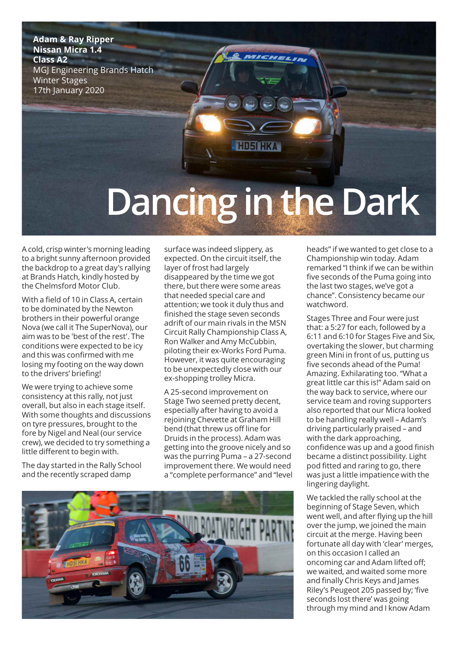**Adam & Ray Ripper Nissan Micra 1.4 Class A2** MGJ Engineering Brands Hatch Winter Stages 17th January 2020

## **Dancing inthe Dark**

**HD5I HKA** 

A cold, crisp winter's morning leading to a bright sunny afternoon provided the backdrop to a great day's rallying at Brands Hatch, kindly hosted by the Chelmsford Motor Club.

With a field of 10 in Class A, certain to be dominated by the Newton brothers in their powerful orange Nova (we call it The SuperNova), our aim was to be 'best of the rest'. The conditions were expected to be icy and this was confirmed with me losing my footing on the way down to the drivers' briefing!

We were trying to achieve some consistency at this rally, not just overall, but also in each stage itself. With some thoughts and discussions on tyre pressures, brought to the fore by Nigel and Neal (our service crew), we decided to try something a little different to begin with.

The day started in the Rally School and the recently scraped damp

surface was indeed slippery, as expected. On the circuit itself, the layer of frost had largely disappeared by the time we got there, but there were some areas that needed special care and attention; we took it duly thus and finished the stage seven seconds adrift of our main rivals in the MSN Circuit Rally Championship Class A, Ron Walker and Amy McCubbin, piloting their ex-Works Ford Puma. However, it was quite encouraging to be unexpectedly close with our ex-shopping trolley Micra.

A 25-second improvement on Stage Two seemed pretty decent, especially after having to avoid a rejoining Chevette at Graham Hill bend (that threw us off line for Druids in the process). Adam was getting into the groove nicely and so was the purring Puma – a 27-second improvement there. We would need a "complete performance" and "level



heads" if we wanted to get close to a Championship win today. Adam remarked "I think if we can be within five seconds of the Puma going into the last two stages, we've got a chance". Consistency became our watchword.

Stages Three and Four were just that: a 5:27 for each, followed by a 6:11 and 6:10 for Stages Five and Six, overtaking the slower, but charming green Mini in front of us, putting us five seconds ahead of the Puma! Amazing. Exhilarating too. "What a great little car this is!" Adam said on the way back to service, where our service team and roving supporters also reported that our Micra looked to be handling really well – Adam's driving particularly praised – and with the dark approaching, confidence was up and a good finish became a distinct possibility. Light pod fitted and raring to go, there was just a little impatience with the lingering daylight.

We tackled the rally school at the beginning of Stage Seven, which went well, and after flying up the hill over the jump, we joined the main circuit at the merge. Having been fortunate all day with 'clear' merges, on this occasion I called an oncoming car and Adam lifted off; we waited, and waited some more and finally Chris Keys and James Riley's Peugeot 205 passed by; 'five seconds lost there' was going through my mind and I know Adam